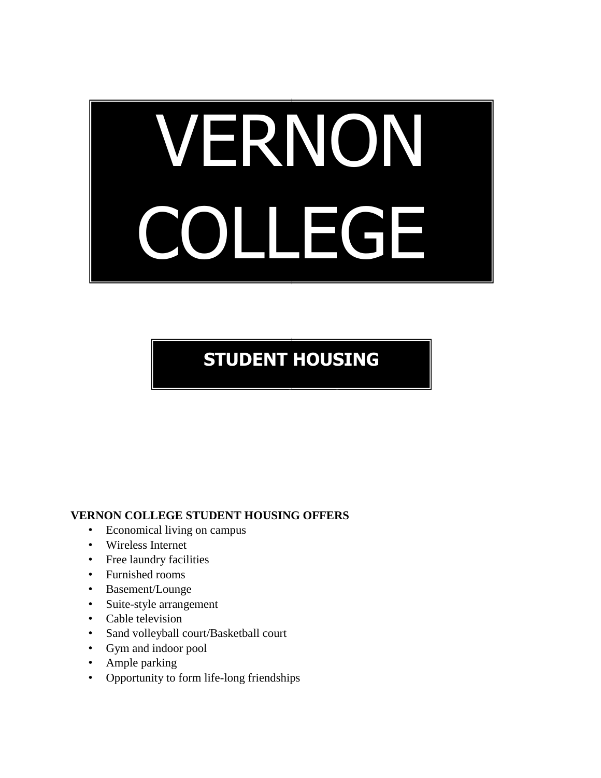# VERNON COLLEGE

## **STUDENT HOUSING**

**APPLICATI ON**

#### **VERNON COLLEGE STUDENT HOUSING OFFERS**

- Economical living on campus
- Wireless Internet
- Free laundry facilities
- Furnished rooms
- Basement/Lounge
- Suite-style arrangement
- Cable television
- Sand volleyball court/Basketball court
- Gym and indoor pool
- Ample parking
- Opportunity to form life-long friendships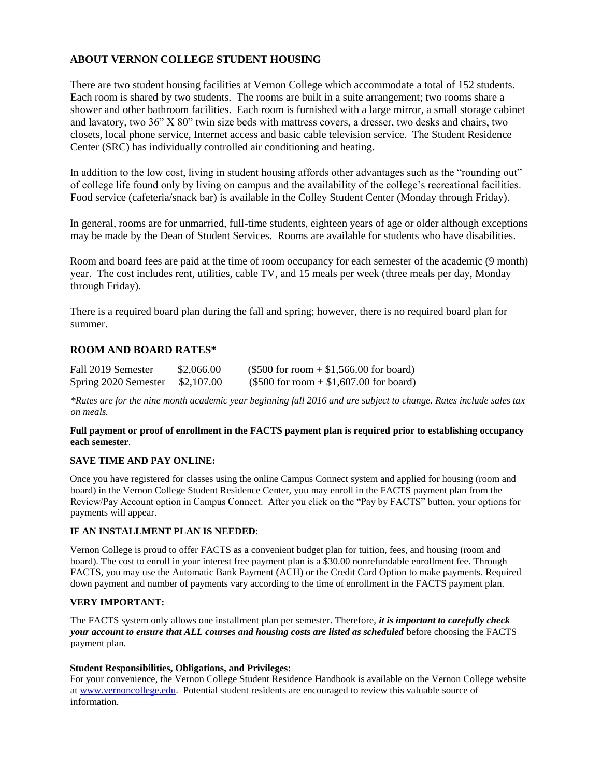#### **ABOUT VERNON COLLEGE STUDENT HOUSING**

There are two student housing facilities at Vernon College which accommodate a total of 152 students. Each room is shared by two students. The rooms are built in a suite arrangement; two rooms share a shower and other bathroom facilities. Each room is furnished with a large mirror, a small storage cabinet and lavatory, two 36" X 80" twin size beds with mattress covers, a dresser, two desks and chairs, two closets, local phone service, Internet access and basic cable television service. The Student Residence Center (SRC) has individually controlled air conditioning and heating.

In addition to the low cost, living in student housing affords other advantages such as the "rounding out" of college life found only by living on campus and the availability of the college's recreational facilities. Food service (cafeteria/snack bar) is available in the Colley Student Center (Monday through Friday).

In general, rooms are for unmarried, full-time students, eighteen years of age or older although exceptions may be made by the Dean of Student Services. Rooms are available for students who have disabilities.

Room and board fees are paid at the time of room occupancy for each semester of the academic (9 month) year. The cost includes rent, utilities, cable TV, and 15 meals per week (three meals per day, Monday through Friday).

There is a required board plan during the fall and spring; however, there is no required board plan for summer.

#### **ROOM AND BOARD RATES\***

| Fall 2019 Semester   | \$2,066.00 | $($500 for room + $1,566.00 for board)$ |
|----------------------|------------|-----------------------------------------|
| Spring 2020 Semester | \$2,107.00 | $($500 for room + $1,607.00 for board)$ |

*\*Rates are for the nine month academic year beginning fall 2016 and are subject to change. Rates include sales tax on meals.*

#### **Full payment or proof of enrollment in the FACTS payment plan is required prior to establishing occupancy each semester**.

#### **SAVE TIME AND PAY ONLINE:**

Once you have registered for classes using the online Campus Connect system and applied for housing (room and board) in the Vernon College Student Residence Center, you may enroll in the FACTS payment plan from the Review/Pay Account option in Campus Connect. After you click on the "Pay by FACTS" button, your options for payments will appear.

#### **IF AN INSTALLMENT PLAN IS NEEDED**:

Vernon College is proud to offer FACTS as a convenient budget plan for tuition, fees, and housing (room and board). The cost to enroll in your interest free payment plan is a \$30.00 nonrefundable enrollment fee. Through FACTS, you may use the Automatic Bank Payment (ACH) or the Credit Card Option to make payments. Required down payment and number of payments vary according to the time of enrollment in the FACTS payment plan.

#### **VERY IMPORTANT:**

The FACTS system only allows one installment plan per semester. Therefore, *it is important to carefully check your account to ensure that ALL courses and housing costs are listed as scheduled* before choosing the FACTS payment plan.

#### **Student Responsibilities, Obligations, and Privileges:**

For your convenience, the Vernon College Student Residence Handbook is available on the Vernon College website at [www.vernoncollege.edu.](http://www.vernoncollege.edu/) Potential student residents are encouraged to review this valuable source of information.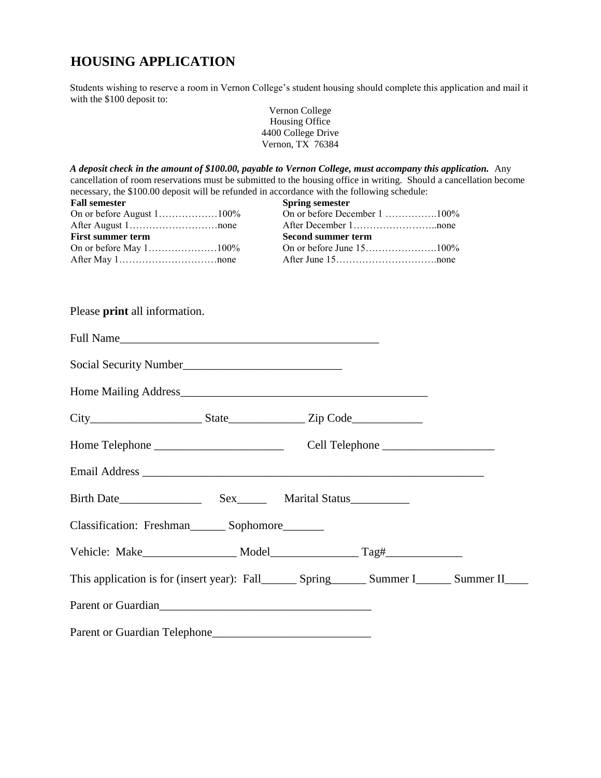### **HOUSING APPLICATION**

Students wishing to reserve a room in Vernon College's student housing should complete this application and mail it with the \$100 deposit to:

|                                                                                                                                                 | Vernon College<br>Housing Office<br>4400 College Drive<br>Vernon, TX 76384                                                                                                                                                                                                                                              |
|-------------------------------------------------------------------------------------------------------------------------------------------------|-------------------------------------------------------------------------------------------------------------------------------------------------------------------------------------------------------------------------------------------------------------------------------------------------------------------------|
| necessary, the \$100.00 deposit will be refunded in accordance with the following schedule:<br><b>Fall semester</b><br><b>First summer term</b> | A deposit check in the amount of \$100.00, payable to Vernon College, must accompany this application. Any<br>cancellation of room reservations must be submitted to the housing office in writing. Should a cancellation become<br><b>Spring semester</b><br>On or before December 1 100%<br><b>Second summer term</b> |
| Please <b>print</b> all information.                                                                                                            |                                                                                                                                                                                                                                                                                                                         |
|                                                                                                                                                 |                                                                                                                                                                                                                                                                                                                         |
|                                                                                                                                                 |                                                                                                                                                                                                                                                                                                                         |
|                                                                                                                                                 |                                                                                                                                                                                                                                                                                                                         |
|                                                                                                                                                 |                                                                                                                                                                                                                                                                                                                         |
|                                                                                                                                                 |                                                                                                                                                                                                                                                                                                                         |
|                                                                                                                                                 |                                                                                                                                                                                                                                                                                                                         |
|                                                                                                                                                 |                                                                                                                                                                                                                                                                                                                         |
| Classification: Freshman________ Sophomore________                                                                                              |                                                                                                                                                                                                                                                                                                                         |
|                                                                                                                                                 |                                                                                                                                                                                                                                                                                                                         |
|                                                                                                                                                 |                                                                                                                                                                                                                                                                                                                         |
| Parent or Guardian<br><u>Example 2014</u>                                                                                                       |                                                                                                                                                                                                                                                                                                                         |
| Parent or Guardian Telephone                                                                                                                    |                                                                                                                                                                                                                                                                                                                         |